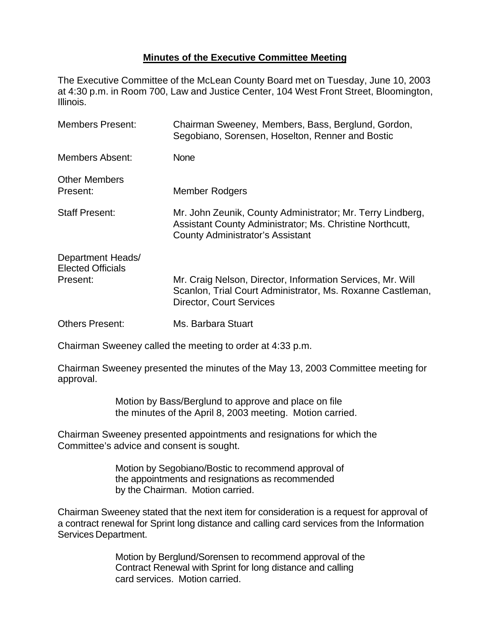## **Minutes of the Executive Committee Meeting**

The Executive Committee of the McLean County Board met on Tuesday, June 10, 2003 at 4:30 p.m. in Room 700, Law and Justice Center, 104 West Front Street, Bloomington, Illinois.

| <b>Members Present:</b>                                   | Chairman Sweeney, Members, Bass, Berglund, Gordon,<br>Segobiano, Sorensen, Hoselton, Renner and Bostic                                                            |
|-----------------------------------------------------------|-------------------------------------------------------------------------------------------------------------------------------------------------------------------|
| Members Absent:                                           | <b>None</b>                                                                                                                                                       |
| <b>Other Members</b><br>Present:                          | <b>Member Rodgers</b>                                                                                                                                             |
| <b>Staff Present:</b>                                     | Mr. John Zeunik, County Administrator; Mr. Terry Lindberg,<br>Assistant County Administrator; Ms. Christine Northcutt,<br><b>County Administrator's Assistant</b> |
| Department Heads/<br><b>Elected Officials</b><br>Present: | Mr. Craig Nelson, Director, Information Services, Mr. Will<br>Scanlon, Trial Court Administrator, Ms. Roxanne Castleman,<br><b>Director, Court Services</b>       |
| <b>Others Present:</b>                                    | Ms. Barbara Stuart                                                                                                                                                |

Chairman Sweeney called the meeting to order at 4:33 p.m.

Chairman Sweeney presented the minutes of the May 13, 2003 Committee meeting for approval.

> Motion by Bass/Berglund to approve and place on file the minutes of the April 8, 2003 meeting. Motion carried.

Chairman Sweeney presented appointments and resignations for which the Committee's advice and consent is sought.

> Motion by Segobiano/Bostic to recommend approval of the appointments and resignations as recommended by the Chairman. Motion carried.

Chairman Sweeney stated that the next item for consideration is a request for approval of a contract renewal for Sprint long distance and calling card services from the Information Services Department.

> Motion by Berglund/Sorensen to recommend approval of the Contract Renewal with Sprint for long distance and calling card services. Motion carried.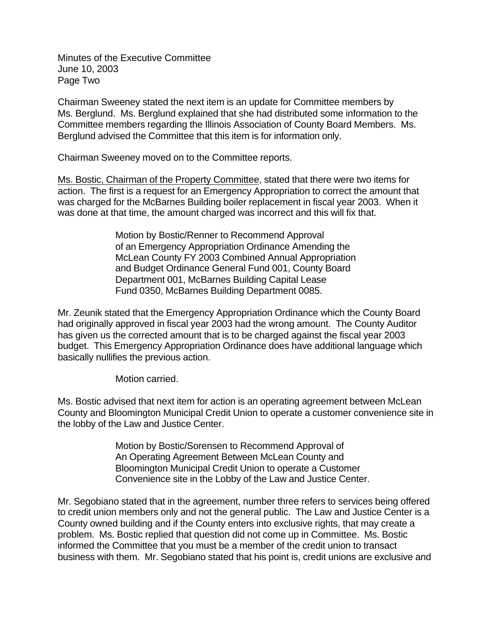Minutes of the Executive Committee June 10, 2003 Page Two

Chairman Sweeney stated the next item is an update for Committee members by Ms. Berglund. Ms. Berglund explained that she had distributed some information to the Committee members regarding the Illinois Association of County Board Members. Ms. Berglund advised the Committee that this item is for information only.

Chairman Sweeney moved on to the Committee reports.

Ms. Bostic, Chairman of the Property Committee, stated that there were two items for action. The first is a request for an Emergency Appropriation to correct the amount that was charged for the McBarnes Building boiler replacement in fiscal year 2003. When it was done at that time, the amount charged was incorrect and this will fix that.

> Motion by Bostic/Renner to Recommend Approval of an Emergency Appropriation Ordinance Amending the McLean County FY 2003 Combined Annual Appropriation and Budget Ordinance General Fund 001, County Board Department 001, McBarnes Building Capital Lease Fund 0350, McBarnes Building Department 0085.

Mr. Zeunik stated that the Emergency Appropriation Ordinance which the County Board had originally approved in fiscal year 2003 had the wrong amount. The County Auditor has given us the corrected amount that is to be charged against the fiscal year 2003 budget. This Emergency Appropriation Ordinance does have additional language which basically nullifies the previous action.

Motion carried.

Ms. Bostic advised that next item for action is an operating agreement between McLean County and Bloomington Municipal Credit Union to operate a customer convenience site in the lobby of the Law and Justice Center.

> Motion by Bostic/Sorensen to Recommend Approval of An Operating Agreement Between McLean County and Bloomington Municipal Credit Union to operate a Customer Convenience site in the Lobby of the Law and Justice Center.

Mr. Segobiano stated that in the agreement, number three refers to services being offered to credit union members only and not the general public. The Law and Justice Center is a County owned building and if the County enters into exclusive rights, that may create a problem. Ms. Bostic replied that question did not come up in Committee. Ms. Bostic informed the Committee that you must be a member of the credit union to transact business with them. Mr. Segobiano stated that his point is, credit unions are exclusive and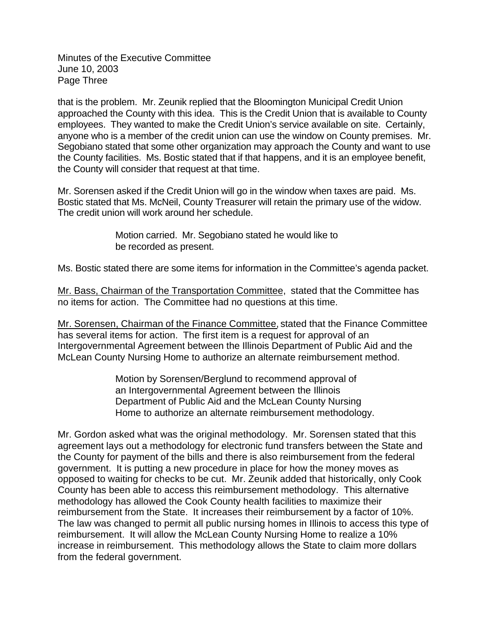Minutes of the Executive Committee June 10, 2003 Page Three

that is the problem. Mr. Zeunik replied that the Bloomington Municipal Credit Union approached the County with this idea. This is the Credit Union that is available to County employees. They wanted to make the Credit Union's service available on site. Certainly, anyone who is a member of the credit union can use the window on County premises. Mr. Segobiano stated that some other organization may approach the County and want to use the County facilities. Ms. Bostic stated that if that happens, and it is an employee benefit, the County will consider that request at that time.

Mr. Sorensen asked if the Credit Union will go in the window when taxes are paid. Ms. Bostic stated that Ms. McNeil, County Treasurer will retain the primary use of the widow. The credit union will work around her schedule.

> Motion carried. Mr. Segobiano stated he would like to be recorded as present.

Ms. Bostic stated there are some items for information in the Committee's agenda packet.

Mr. Bass, Chairman of the Transportation Committee, stated that the Committee has no items for action. The Committee had no questions at this time.

Mr. Sorensen, Chairman of the Finance Committee, stated that the Finance Committee has several items for action. The first item is a request for approval of an Intergovernmental Agreement between the Illinois Department of Public Aid and the McLean County Nursing Home to authorize an alternate reimbursement method.

> Motion by Sorensen/Berglund to recommend approval of an Intergovernmental Agreement between the Illinois Department of Public Aid and the McLean County Nursing Home to authorize an alternate reimbursement methodology.

Mr. Gordon asked what was the original methodology. Mr. Sorensen stated that this agreement lays out a methodology for electronic fund transfers between the State and the County for payment of the bills and there is also reimbursement from the federal government. It is putting a new procedure in place for how the money moves as opposed to waiting for checks to be cut. Mr. Zeunik added that historically, only Cook County has been able to access this reimbursement methodology. This alternative methodology has allowed the Cook County health facilities to maximize their reimbursement from the State. It increases their reimbursement by a factor of 10%. The law was changed to permit all public nursing homes in Illinois to access this type of reimbursement. It will allow the McLean County Nursing Home to realize a 10% increase in reimbursement. This methodology allows the State to claim more dollars from the federal government.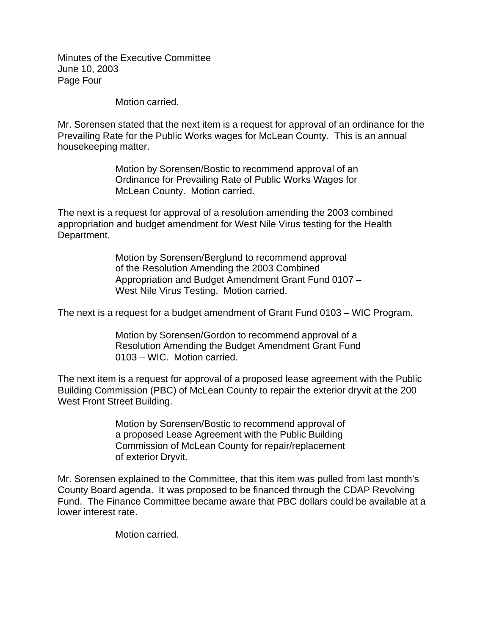Minutes of the Executive Committee June 10, 2003 Page Four

Motion carried.

Mr. Sorensen stated that the next item is a request for approval of an ordinance for the Prevailing Rate for the Public Works wages for McLean County. This is an annual housekeeping matter.

> Motion by Sorensen/Bostic to recommend approval of an Ordinance for Prevailing Rate of Public Works Wages for McLean County. Motion carried.

The next is a request for approval of a resolution amending the 2003 combined appropriation and budget amendment for West Nile Virus testing for the Health Department.

> Motion by Sorensen/Berglund to recommend approval of the Resolution Amending the 2003 Combined Appropriation and Budget Amendment Grant Fund 0107 – West Nile Virus Testing. Motion carried.

The next is a request for a budget amendment of Grant Fund 0103 – WIC Program.

Motion by Sorensen/Gordon to recommend approval of a Resolution Amending the Budget Amendment Grant Fund 0103 – WIC. Motion carried.

The next item is a request for approval of a proposed lease agreement with the Public Building Commission (PBC) of McLean County to repair the exterior dryvit at the 200 West Front Street Building.

> Motion by Sorensen/Bostic to recommend approval of a proposed Lease Agreement with the Public Building Commission of McLean County for repair/replacement of exterior Dryvit.

Mr. Sorensen explained to the Committee, that this item was pulled from last month's County Board agenda. It was proposed to be financed through the CDAP Revolving Fund. The Finance Committee became aware that PBC dollars could be available at a lower interest rate.

Motion carried.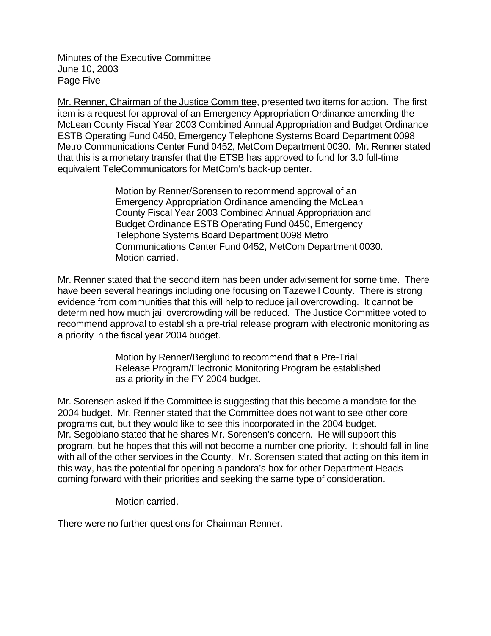Minutes of the Executive Committee June 10, 2003 Page Five

Mr. Renner, Chairman of the Justice Committee, presented two items for action. The first item is a request for approval of an Emergency Appropriation Ordinance amending the McLean County Fiscal Year 2003 Combined Annual Appropriation and Budget Ordinance ESTB Operating Fund 0450, Emergency Telephone Systems Board Department 0098 Metro Communications Center Fund 0452, MetCom Department 0030. Mr. Renner stated that this is a monetary transfer that the ETSB has approved to fund for 3.0 full-time equivalent TeleCommunicators for MetCom's back-up center.

> Motion by Renner/Sorensen to recommend approval of an Emergency Appropriation Ordinance amending the McLean County Fiscal Year 2003 Combined Annual Appropriation and Budget Ordinance ESTB Operating Fund 0450, Emergency Telephone Systems Board Department 0098 Metro Communications Center Fund 0452, MetCom Department 0030. Motion carried.

Mr. Renner stated that the second item has been under advisement for some time. There have been several hearings including one focusing on Tazewell County. There is strong evidence from communities that this will help to reduce jail overcrowding. It cannot be determined how much jail overcrowding will be reduced. The Justice Committee voted to recommend approval to establish a pre-trial release program with electronic monitoring as a priority in the fiscal year 2004 budget.

> Motion by Renner/Berglund to recommend that a Pre-Trial Release Program/Electronic Monitoring Program be established as a priority in the FY 2004 budget.

Mr. Sorensen asked if the Committee is suggesting that this become a mandate for the 2004 budget. Mr. Renner stated that the Committee does not want to see other core programs cut, but they would like to see this incorporated in the 2004 budget. Mr. Segobiano stated that he shares Mr. Sorensen's concern. He will support this program, but he hopes that this will not become a number one priority. It should fall in line with all of the other services in the County. Mr. Sorensen stated that acting on this item in this way, has the potential for opening a pandora's box for other Department Heads coming forward with their priorities and seeking the same type of consideration.

Motion carried.

There were no further questions for Chairman Renner.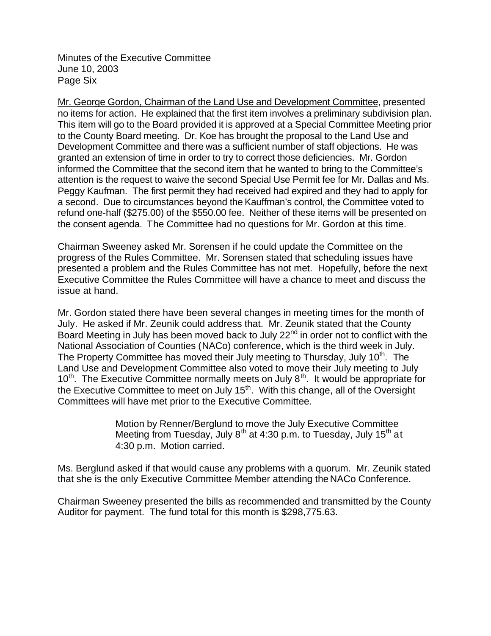Minutes of the Executive Committee June 10, 2003 Page Six

Mr. George Gordon, Chairman of the Land Use and Development Committee, presented no items for action. He explained that the first item involves a preliminary subdivision plan. This item will go to the Board provided it is approved at a Special Committee Meeting prior to the County Board meeting. Dr. Koe has brought the proposal to the Land Use and Development Committee and there was a sufficient number of staff objections. He was granted an extension of time in order to try to correct those deficiencies. Mr. Gordon informed the Committee that the second item that he wanted to bring to the Committee's attention is the request to waive the second Special Use Permit fee for Mr. Dallas and Ms. Peggy Kaufman. The first permit they had received had expired and they had to apply for a second. Due to circumstances beyond the Kauffman's control, the Committee voted to refund one-half (\$275.00) of the \$550.00 fee. Neither of these items will be presented on the consent agenda. The Committee had no questions for Mr. Gordon at this time.

Chairman Sweeney asked Mr. Sorensen if he could update the Committee on the progress of the Rules Committee. Mr. Sorensen stated that scheduling issues have presented a problem and the Rules Committee has not met. Hopefully, before the next Executive Committee the Rules Committee will have a chance to meet and discuss the issue at hand.

Mr. Gordon stated there have been several changes in meeting times for the month of July. He asked if Mr. Zeunik could address that. Mr. Zeunik stated that the County Board Meeting in July has been moved back to July 22<sup>nd</sup> in order not to conflict with the National Association of Counties (NACo) conference, which is the third week in July. The Property Committee has moved their July meeting to Thursday, July 10<sup>th</sup>. The Land Use and Development Committee also voted to move their July meeting to July  $10<sup>th</sup>$ . The Executive Committee normally meets on July  $8<sup>th</sup>$ . It would be appropriate for the Executive Committee to meet on July  $15<sup>th</sup>$ . With this change, all of the Oversight Committees will have met prior to the Executive Committee.

> Motion by Renner/Berglund to move the July Executive Committee Meeting from Tuesday, July  $8<sup>th</sup>$  at 4:30 p.m. to Tuesday, July 15<sup>th</sup> at 4:30 p.m. Motion carried.

Ms. Berglund asked if that would cause any problems with a quorum. Mr. Zeunik stated that she is the only Executive Committee Member attending the NACo Conference.

Chairman Sweeney presented the bills as recommended and transmitted by the County Auditor for payment. The fund total for this month is \$298,775.63.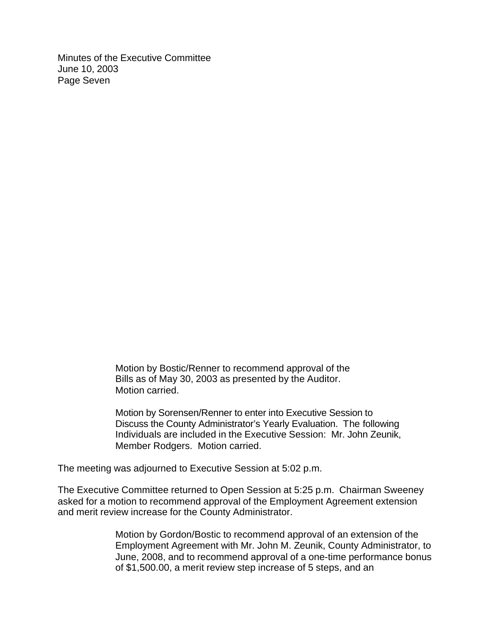Minutes of the Executive Committee June 10, 2003 Page Seven

> Motion by Bostic/Renner to recommend approval of the Bills as of May 30, 2003 as presented by the Auditor. Motion carried.

Motion by Sorensen/Renner to enter into Executive Session to Discuss the County Administrator's Yearly Evaluation. The following Individuals are included in the Executive Session: Mr. John Zeunik, Member Rodgers. Motion carried.

The meeting was adjourned to Executive Session at 5:02 p.m.

The Executive Committee returned to Open Session at 5:25 p.m. Chairman Sweeney asked for a motion to recommend approval of the Employment Agreement extension and merit review increase for the County Administrator.

> Motion by Gordon/Bostic to recommend approval of an extension of the Employment Agreement with Mr. John M. Zeunik, County Administrator, to June, 2008, and to recommend approval of a one-time performance bonus of \$1,500.00, a merit review step increase of 5 steps, and an